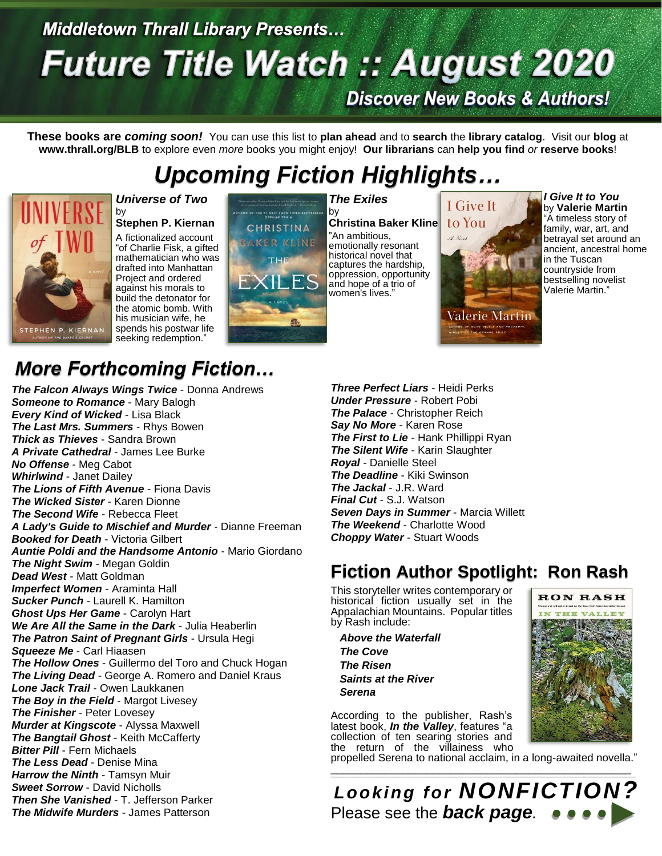# **Middletown Thrall Library Presents... Future Title Watch :: August 2020 Discover New Books & Authors!**

**These books are** *coming soon!* You can use this list to **plan ahead** and to **search** the **library catalog**. Visit our **blog** at **www.thrall.org/BLB** to explore even *more* books you might enjoy! **Our librarians** can **help you find** *or* **reserve books**!

# *Upcoming Fiction Highlights…*



### *Universe of Two* by **Stephen P. Kiernan**

A fictionalized account "of Charlie Fisk, a gifted mathematician who was drafted into Manhattan Project and ordered against his morals to build the detonator for the atomic bomb. With his musician wife, he spends his postwar life seeking redemption."



### by **Christina Baker Kline**

"An ambitious, emotionally resonant historical novel that captures the hardship, oppression, opportunity and hope of a trio of women's lives."

# I Give It. to You Valerie Martin

*I Give It to You* by **Valerie Martin** "A timeless story of family, war, art, and betrayal set around an ancient, ancestral home in the Tuscan countryside from bestselling novelist Valerie Martin."

## *More Forthcoming Fiction…*

*The Falcon Always Wings Twice* - Donna Andrews *Someone to Romance* - Mary Balogh *Every Kind of Wicked* - Lisa Black *The Last Mrs. Summers* - Rhys Bowen *Thick as Thieves* - Sandra Brown *A Private Cathedral* - James Lee Burke *No Offense* - Meg Cabot *Whirlwind* - Janet Dailey *The Lions of Fifth Avenue* - Fiona Davis *The Wicked Sister* - Karen Dionne *The Second Wife* - Rebecca Fleet *A Lady's Guide to Mischief and Murder* - Dianne Freeman *Booked for Death* - Victoria Gilbert *Auntie Poldi and the Handsome Antonio* - Mario Giordano *The Night Swim* - Megan Goldin *Dead West* - Matt Goldman *Imperfect Women* - Araminta Hall *Sucker Punch* - Laurell K. Hamilton *Ghost Ups Her Game* - Carolyn Hart *We Are All the Same in the Dark* - Julia Heaberlin *The Patron Saint of Pregnant Girls* - Ursula Hegi *Squeeze Me* - Carl Hiaasen *The Hollow Ones* - Guillermo del Toro and Chuck Hogan *The Living Dead* - George A. Romero and Daniel Kraus *Lone Jack Trail* - Owen Laukkanen *The Boy in the Field - Margot Livesey The Finisher* - Peter Lovesey *Murder at Kingscote* - Alyssa Maxwell *The Bangtail Ghost* - Keith McCafferty *Bitter Pill* - Fern Michaels *The Less Dead* - Denise Mina *Harrow the Ninth* - Tamsyn Muir *Sweet Sorrow* - David Nicholls *Then She Vanished* - T. Jefferson Parker *The Midwife Murders* - James Patterson

*Three Perfect Liars* - Heidi Perks *Under Pressure* - Robert Pobi *The Palace* - Christopher Reich *Say No More* - Karen Rose *The First to Lie* - Hank Phillippi Ryan *The Silent Wife* - Karin Slaughter *Royal* - Danielle Steel *The Deadline* - Kiki Swinson *The Jackal* - J.R. Ward *Final Cut* - S.J. Watson *Seven Days in Summer* - Marcia Willett *The Weekend* - Charlotte Wood *Choppy Water* - Stuart Woods

### **Fiction Author Spotlight: Ron Rash**

This storyteller writes contemporary or historical fiction usually set in the Appalachian Mountains. Popular titles by Rash include:

 *Above the Waterfall The Cove The Risen Saints at the River Serena*

According to the publisher, Rash's latest book, *In the Valley*, features "a collection of ten searing stories and the return of the villainess who

propelled Serena to national acclaim, in a long-awaited novella."

\_\_\_\_\_\_\_\_\_\_\_\_\_\_\_\_\_\_\_\_\_\_\_\_\_\_\_\_\_\_\_\_\_\_\_\_\_\_\_\_\_\_\_\_\_\_\_\_\_\_ *Looking for NONFICTION?* Please see the *back page.*